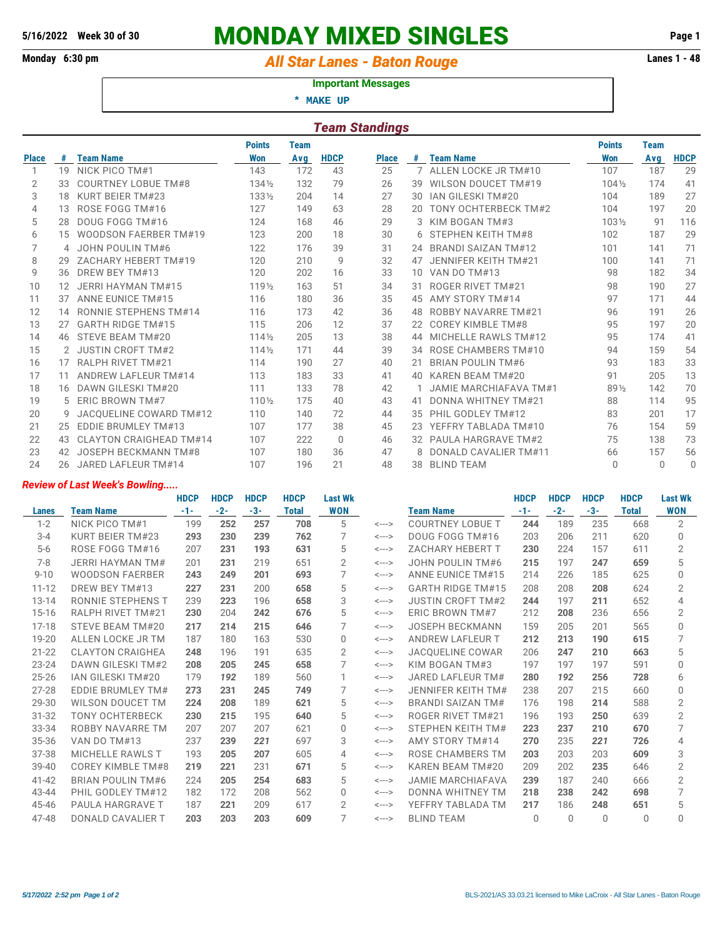# **5/16/2022 Week 30 of 30 MONDAY MIXED SINGLES Page 1**

## Monday 6:30 pm *All Star Lanes - Baton Rouge* **Lanes 1 - 48**

#### **Important Messages**

 **\* MAKE UP**

| <b>Team Standings</b> |    |                            |                  |             |             |              |                 |                               |                  |             |             |  |
|-----------------------|----|----------------------------|------------------|-------------|-------------|--------------|-----------------|-------------------------------|------------------|-------------|-------------|--|
|                       |    |                            | <b>Points</b>    | <b>Team</b> |             |              |                 |                               | <b>Points</b>    | <b>Team</b> |             |  |
| <b>Place</b>          | #  | <b>Team Name</b>           | <b>Won</b>       | Avg         | <b>HDCP</b> | <b>Place</b> | #               | <b>Team Name</b>              | Won              | Avg         | <b>HDCP</b> |  |
| 1                     | 19 | NICK PICO TM#1             | 143              | 172         | 43          | 25           |                 | ALLEN LOCKE JR TM#10          | 107              | 187         | 29          |  |
| 2                     | 33 | <b>COURTNEY LOBUE TM#8</b> | 1341/2           | 132         | 79          | 26           | 39              | WILSON DOUCET TM#19           | $104\frac{1}{2}$ | 174         | 41          |  |
| 3                     | 18 | KURT BEIER TM#23           | 1331/2           | 204         | 14          | 27           | 30              | IAN GILESKI TM#20             | 104              | 189         | 27          |  |
| 4                     | 13 | ROSE FOGG TM#16            | 127              | 149         | 63          | 28           | 20              | TONY OCHTERBECK TM#2          | 104              | 197         | 20          |  |
| 5                     | 28 | DOUG FOGG TM#16            | 124              | 168         | 46          | 29           | 3               | KIM BOGAN TM#3                | 1031/2           | 91          | 116         |  |
| 6                     | 15 | WOODSON FAERBER TM#19      | 123              | 200         | 18          | 30           | 6               | STEPHEN KEITH TM#8            | 102              | 187         | 29          |  |
| 7                     |    | 4 JOHN POULIN TM#6         | 122              | 176         | 39          | 31           | 24              | <b>BRANDI SAIZAN TM#12</b>    | 101              | 141         | 71          |  |
| 8                     | 29 | ZACHARY HEBERT TM#19       | 120              | 210         | 9           | 32           | 47              | JENNIFER KEITH TM#21          | 100              | 141         | 71          |  |
| 9                     | 36 | DREW BEY TM#13             | 120              | 202         | 16          | 33           | 10 <sup>°</sup> | VAN DO TM#13                  | 98               | 182         | 34          |  |
| 10                    | 12 | JERRI HAYMAN TM#15         | 1191/2           | 163         | 51          | 34           | 31              | <b>ROGER RIVET TM#21</b>      | 98               | 190         | 27          |  |
| 11                    | 37 | <b>ANNE EUNICE TM#15</b>   | 116              | 180         | 36          | 35           | 45              | AMY STORY TM#14               | 97               | 171         | 44          |  |
| 12                    | 14 | RONNIE STEPHENS TM#14      | 116              | 173         | 42          | 36           | 48              | ROBBY NAVARRE TM#21           | 96               | 191         | 26          |  |
| 13                    | 27 | <b>GARTH RIDGE TM#15</b>   | 115              | 206         | 12          | 37           | 22              | <b>COREY KIMBLE TM#8</b>      | 95               | 197         | 20          |  |
| 14                    |    | 46 STEVE BEAM TM#20        | $114\frac{1}{2}$ | 205         | 13          | 38           |                 | MICHELLE RAWLS TM#12          | 95               | 174         | 41          |  |
| 15                    |    | 2 JUSTIN CROFT TM#2        | $114\frac{1}{2}$ | 171         | 44          | 39           | 34              | ROSE CHAMBERS TM#10           | 94               | 159         | 54          |  |
| 16                    | 17 | <b>RALPH RIVET TM#21</b>   | 114              | 190         | 27          | 40           | 21              | <b>BRIAN POULIN TM#6</b>      | 93               | 183         | 33          |  |
| 17                    | 11 | ANDREW LAFLEUR TM#14       | 113              | 183         | 33          | 41           | 40              | KAREN BEAM TM#20              | 91               | 205         | 13          |  |
| 18                    | 16 | DAWN GILESKI TM#20         | 111              | 133         | 78          | 42           |                 | <b>JAMIE MARCHIAFAVA TM#1</b> | 891/2            | 142         | 70          |  |
| 19                    | 5. | ERIC BROWN TM#7            | 1101/2           | 175         | 40          | 43           | 41              | DONNA WHITNEY TM#21           | 88               | 114         | 95          |  |
| 20                    | 9  | JACOUELINE COWARD TM#12    | 110              | 140         | 72          | 44           | 35              | PHIL GODLEY TM#12             | 83               | 201         | 17          |  |
| 21                    | 25 | EDDIE BRUMLEY TM#13        | 107              | 177         | 38          | 45           | 23              | YEFFRY TABLADA TM#10          | 76               | 154         | 59          |  |
| 22                    | 43 | CLAYTON CRAIGHEAD TM#14    | 107              | 222         | $\Omega$    | 46           |                 | <b>PAULA HARGRAVE TM#2</b>    | 75               | 138         | 73          |  |
| 23                    | 42 | JOSEPH BECKMANN TM#8       | 107              | 180         | 36          | 47           |                 | DONALD CAVALIER TM#11         | 66               | 157         | 56          |  |
| 24                    | 26 | JARED LAFLEUR TM#14        | 107              | 196         | 21          | 48           | 38              | <b>BLIND TEAM</b>             | $\bigcap$        | $\Omega$    | $\Omega$    |  |

#### *Review of Last Week's Bowling.....*

|           |                          | <b>HDCP</b> | <b>HDCP</b> | <b>HDCP</b> | <b>HDCP</b>  | <b>Last Wk</b> |                            |                          | <b>HDCP</b> | <b>HDCP</b> | <b>HDCP</b> | <b>HDCP</b>  | <b>Last Wk</b> |
|-----------|--------------------------|-------------|-------------|-------------|--------------|----------------|----------------------------|--------------------------|-------------|-------------|-------------|--------------|----------------|
| Lanes     | <b>Team Name</b>         | $-1-$       | $-2-$       | $-3-$       | <b>Total</b> | WON            |                            | <b>Team Name</b>         | $-1-$       | $-2-$       | $-3-$       | <b>Total</b> | <b>WON</b>     |
| $1 - 2$   | NICK PICO TM#1           | 199         | 252         | 257         | 708          | 5              | <--->                      | <b>COURTNEY LOBUE T</b>  | 244         | 189         | 235         | 668          | $\overline{2}$ |
| $3 - 4$   | KURT BEIER TM#23         | 293         | 230         | 239         | 762          | 7              | $\leftarrow$ $\rightarrow$ | DOUG FOGG TM#16          | 203         | 206         | 211         | 620          | $\Omega$       |
| $5-6$     | ROSE FOGG TM#16          | 207         | 231         | 193         | 631          | 5              | <--->                      | <b>ZACHARY HEBERT T</b>  | 230         | 224         | 157         | 611          | 2              |
| $7-8$     | <b>JERRI HAYMAN TM#</b>  | 201         | 231         | 219         | 651          | 2              | $\leftarrow$ $\rightarrow$ | <b>JOHN POULIN TM#6</b>  | 215         | 197         | 247         | 659          | 5              |
| $9 - 10$  | <b>WOODSON FAERBER</b>   | 243         | 249         | 201         | 693          |                | <--->                      | <b>ANNE EUNICE TM#15</b> | 214         | 226         | 185         | 625          | 0              |
| $11 - 12$ | DREW BEY TM#13           | 227         | 231         | 200         | 658          | 5              | $\leftarrow$ $\rightarrow$ | <b>GARTH RIDGE TM#15</b> | 208         | 208         | 208         | 624          | 2              |
| $13 - 14$ | RONNIE STEPHENS T        | 239         | 223         | 196         | 658          | 3              | <--->                      | <b>JUSTIN CROFT TM#2</b> | 244         | 197         | 211         | 652          | 4              |
| $15 - 16$ | <b>RALPH RIVET TM#21</b> | 230         | 204         | 242         | 676          | 5              | <--->                      | ERIC BROWN TM#7          | 212         | 208         | 236         | 656          | $\overline{2}$ |
| $17 - 18$ | STEVE BEAM TM#20         | 217         | 214         | 215         | 646          | 7              | <--->                      | <b>JOSEPH BECKMANN</b>   | 159         | 205         | 201         | 565          | $\Omega$       |
| 19-20     | ALLEN LOCKE JR TM        | 187         | 180         | 163         | 530          | $\Omega$       | <--->                      | ANDREW LAFLEUR T         | 212         | 213         | 190         | 615          |                |
| $21 - 22$ | <b>CLAYTON CRAIGHEA</b>  | 248         | 196         | 191         | 635          | $\overline{2}$ | $\leftarrow$ $\rightarrow$ | <b>JACOUELINE COWAR</b>  | 206         | 247         | 210         | 663          | 5              |
| $23 - 24$ | <b>DAWN GILESKI TM#2</b> | 208         | 205         | 245         | 658          | 7              | <--->                      | KIM BOGAN TM#3           | 197         | 197         | 197         | 591          | $\Omega$       |
| $25 - 26$ | IAN GILESKI TM#20        | 179         | 192         | 189         | 560          | 1              | $\leftarrow$ $\rightarrow$ | JARED LAFLEUR TM#        | 280         | 192         | 256         | 728          | 6              |
| $27 - 28$ | <b>EDDIE BRUMLEY TM#</b> | 273         | 231         | 245         | 749          | 7              | <--->                      | JENNIFER KEITH TM#       | 238         | 207         | 215         | 660          | $\Omega$       |
| 29-30     | <b>WILSON DOUCET TM</b>  | 224         | 208         | 189         | 621          | 5              | <--->                      | <b>BRANDI SAIZAN TM#</b> | 176         | 198         | 214         | 588          | 2              |
| $31 - 32$ | <b>TONY OCHTERBECK</b>   | 230         | 215         | 195         | 640          | 5              | <--->                      | <b>ROGER RIVET TM#21</b> | 196         | 193         | 250         | 639          | 2              |
| 33-34     | ROBBY NAVARRE TM         | 207         | 207         | 207         | 621          | $\Omega$       | $\leftarrow$ $\rightarrow$ | STEPHEN KEITH TM#        | 223         | 237         | 210         | 670          |                |
| 35-36     | VAN DO TM#13             | 237         | 239         | 221         | 697          | 3              | <--->                      | AMY STORY TM#14          | 270         | 235         | 221         | 726          | 4              |
| 37-38     | <b>MICHELLE RAWLS T</b>  | 193         | 205         | 207         | 605          | $\overline{4}$ | <--->                      | ROSE CHAMBERS TM         | 203         | 203         | 203         | 609          | 3              |
| $39 - 40$ | <b>COREY KIMBLE TM#8</b> | 219         | 221         | 231         | 671          | 5              | <--->                      | KAREN BEAM TM#20         | 209         | 202         | 235         | 646          | $\overline{2}$ |
| $41 - 42$ | <b>BRIAN POULIN TM#6</b> | 224         | 205         | 254         | 683          | 5              | $\leftarrow$ $\rightarrow$ | <b>JAMIE MARCHIAFAVA</b> | 239         | 187         | 240         | 666          | $\overline{2}$ |
| 43-44     | PHIL GODLEY TM#12        | 182         | 172         | 208         | 562          | $\Omega$       | <--->                      | DONNA WHITNEY TM         | 218         | 238         | 242         | 698          | 7              |
| 45-46     | <b>PAULA HARGRAVE T</b>  | 187         | 221         | 209         | 617          | 2              | <--->                      | YEFFRY TABLADA TM        | 217         | 186         | 248         | 651          | 5              |
| 47-48     | <b>DONALD CAVALIER T</b> | 203         | 203         | 203         | 609          | 7              | <--->                      | <b>BLIND TEAM</b>        | $\Omega$    | $\Omega$    | 0           | 0            | 0              |